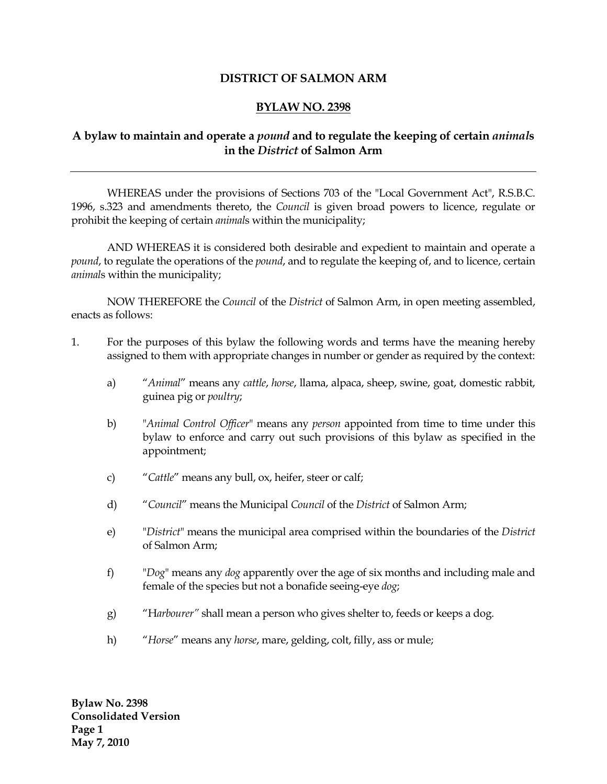## **DISTRICT OF SALMON ARM**

# **BYLAW NO. 2398**

# **A bylaw to maintain and operate a** *pound* **and to regulate the keeping of certain** *animal***s in the** *District* **of Salmon Arm**

WHEREAS under the provisions of Sections 703 of the "Local Government Act", R.S.B.C. 1996, s.323 and amendments thereto, the *Council* is given broad powers to licence, regulate or prohibit the keeping of certain *animal*s within the municipality;

AND WHEREAS it is considered both desirable and expedient to maintain and operate a *pound*, to regulate the operations of the *pound*, and to regulate the keeping of, and to licence, certain *animal*s within the municipality;

NOW THEREFORE the *Council* of the *District* of Salmon Arm, in open meeting assembled, enacts as follows:

- 1. For the purposes of this bylaw the following words and terms have the meaning hereby assigned to them with appropriate changes in number or gender as required by the context:
	- a) "*Animal*" means any *cattle*, *horse*, llama, alpaca, sheep, swine, goat, domestic rabbit, guinea pig or *poultry*;
	- b) "*Animal Control Officer*" means any *person* appointed from time to time under this bylaw to enforce and carry out such provisions of this bylaw as specified in the appointment;
	- c) "*Cattle*" means any bull, ox, heifer, steer or calf;
	- d) "*Council*" means the Municipal *Council* of the *District* of Salmon Arm;
	- e) "*District*" means the municipal area comprised within the boundaries of the *District* of Salmon Arm;
	- f) "*Dog*" means any *dog* apparently over the age of six months and including male and female of the species but not a bonafide seeing-eye *dog*;
	- g) "H*arbourer"* shall mean a person who gives shelter to, feeds or keeps a dog.
	- h) "*Horse*" means any *horse*, mare, gelding, colt, filly, ass or mule;

**Bylaw No. 2398 Consolidated Version Page 1 May 7, 2010**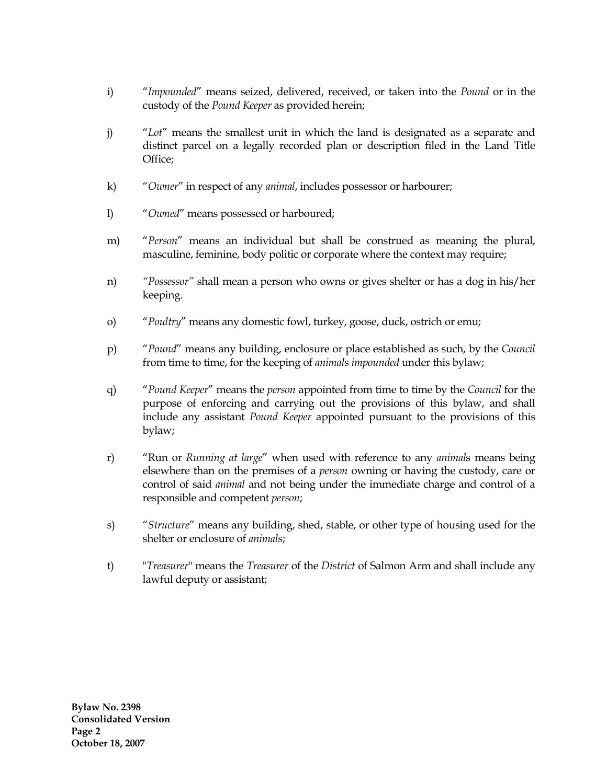- i) "*Impounded*" means seized, delivered, received, or taken into the *Pound* or in the custody of the *Pound Keeper* as provided herein;
- j) "*Lot*" means the smallest unit in which the land is designated as a separate and distinct parcel on a legally recorded plan or description filed in the Land Title Office;
- k) "*Owner*" in respect of any *animal*, includes possessor or harbourer;
- l) "*Owned*" means possessed or harboured;
- m) "*Person*" means an individual but shall be construed as meaning the plural, masculine, feminine, body politic or corporate where the context may require;
- n) *"Possessor"* shall mean a person who owns or gives shelter or has a dog in his/her keeping.
- o) "*Poultry*" means any domestic fowl, turkey, goose, duck, ostrich or emu;
- p) "*Pound*" means any building, enclosure or place established as such, by the *Council* from time to time, for the keeping of *animal*s *impounded* under this bylaw;
- q) "*Pound Keeper*" means the *person* appointed from time to time by the *Council* for the purpose of enforcing and carrying out the provisions of this bylaw, and shall include any assistant *Pound Keeper* appointed pursuant to the provisions of this bylaw;
- r) "Run or *Running at large*" when used with reference to any *animal*s means being elsewhere than on the premises of a *person* owning or having the custody, care or control of said *animal* and not being under the immediate charge and control of a responsible and competent *person*;
- s) "*Structure*" means any building, shed, stable, or other type of housing used for the shelter or enclosure of *animal*s;
- t) "*Treasurer*" means the *Treasurer* of the *District* of Salmon Arm and shall include any lawful deputy or assistant;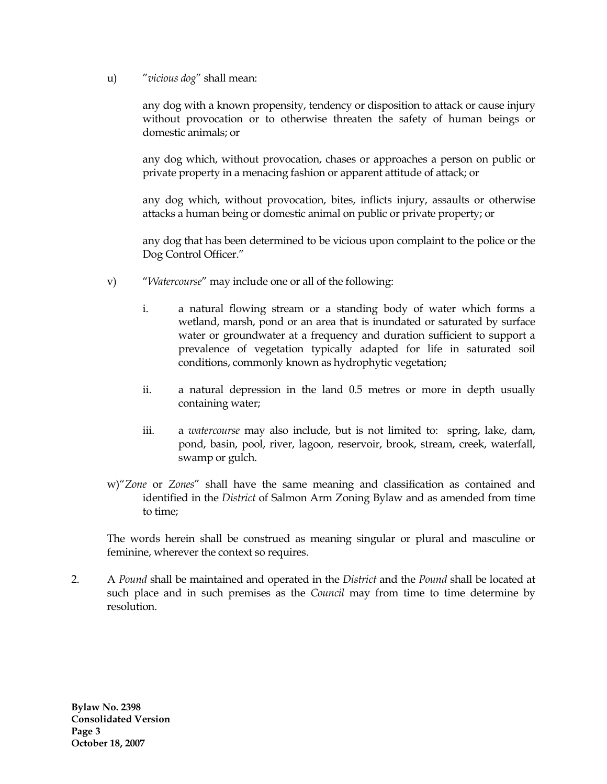u) "*vicious dog*" shall mean:

any dog with a known propensity, tendency or disposition to attack or cause injury without provocation or to otherwise threaten the safety of human beings or domestic animals; or

any dog which, without provocation, chases or approaches a person on public or private property in a menacing fashion or apparent attitude of attack; or

any dog which, without provocation, bites, inflicts injury, assaults or otherwise attacks a human being or domestic animal on public or private property; or

any dog that has been determined to be vicious upon complaint to the police or the Dog Control Officer."

- v) "*Watercourse*" may include one or all of the following:
	- i. a natural flowing stream or a standing body of water which forms a wetland, marsh, pond or an area that is inundated or saturated by surface water or groundwater at a frequency and duration sufficient to support a prevalence of vegetation typically adapted for life in saturated soil conditions, commonly known as hydrophytic vegetation;
	- ii. a natural depression in the land 0.5 metres or more in depth usually containing water;
	- iii. a *watercourse* may also include, but is not limited to: spring, lake, dam, pond, basin, pool, river, lagoon, reservoir, brook, stream, creek, waterfall, swamp or gulch.
- w)"*Zone* or *Zones*" shall have the same meaning and classification as contained and identified in the *District* of Salmon Arm Zoning Bylaw and as amended from time to time;

The words herein shall be construed as meaning singular or plural and masculine or feminine, wherever the context so requires.

2. A *Pound* shall be maintained and operated in the *District* and the *Pound* shall be located at such place and in such premises as the *Council* may from time to time determine by resolution.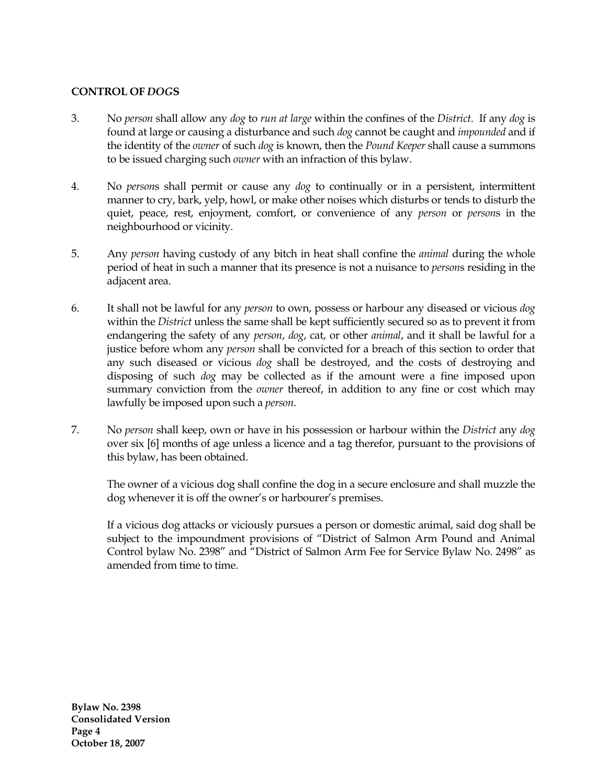### **CONTROL OF** *DOG***S**

- 3. No *person* shall allow any *dog* to *run at large* within the confines of the *District*. If any *dog* is found at large or causing a disturbance and such *dog* cannot be caught and *impounded* and if the identity of the *owner* of such *dog* is known, then the *Pound Keeper* shall cause a summons to be issued charging such *owner* with an infraction of this bylaw.
- 4. No *person*s shall permit or cause any *dog* to continually or in a persistent, intermittent manner to cry, bark, yelp, howl, or make other noises which disturbs or tends to disturb the quiet, peace, rest, enjoyment, comfort, or convenience of any *person* or *person*s in the neighbourhood or vicinity.
- 5. Any *person* having custody of any bitch in heat shall confine the *animal* during the whole period of heat in such a manner that its presence is not a nuisance to *person*s residing in the adjacent area.
- 6. It shall not be lawful for any *person* to own, possess or harbour any diseased or vicious *dog* within the *District* unless the same shall be kept sufficiently secured so as to prevent it from endangering the safety of any *person*, *dog*, cat, or other *animal*, and it shall be lawful for a justice before whom any *person* shall be convicted for a breach of this section to order that any such diseased or vicious *dog* shall be destroyed, and the costs of destroying and disposing of such *dog* may be collected as if the amount were a fine imposed upon summary conviction from the *owner* thereof, in addition to any fine or cost which may lawfully be imposed upon such a *person*.
- 7. No *person* shall keep, own or have in his possession or harbour within the *District* any *dog* over six [6] months of age unless a licence and a tag therefor, pursuant to the provisions of this bylaw, has been obtained.

The owner of a vicious dog shall confine the dog in a secure enclosure and shall muzzle the dog whenever it is off the owner's or harbourer's premises.

If a vicious dog attacks or viciously pursues a person or domestic animal, said dog shall be subject to the impoundment provisions of "District of Salmon Arm Pound and Animal Control bylaw No. 2398" and "District of Salmon Arm Fee for Service Bylaw No. 2498" as amended from time to time.

**Bylaw No. 2398 Consolidated Version Page 4 October 18, 2007**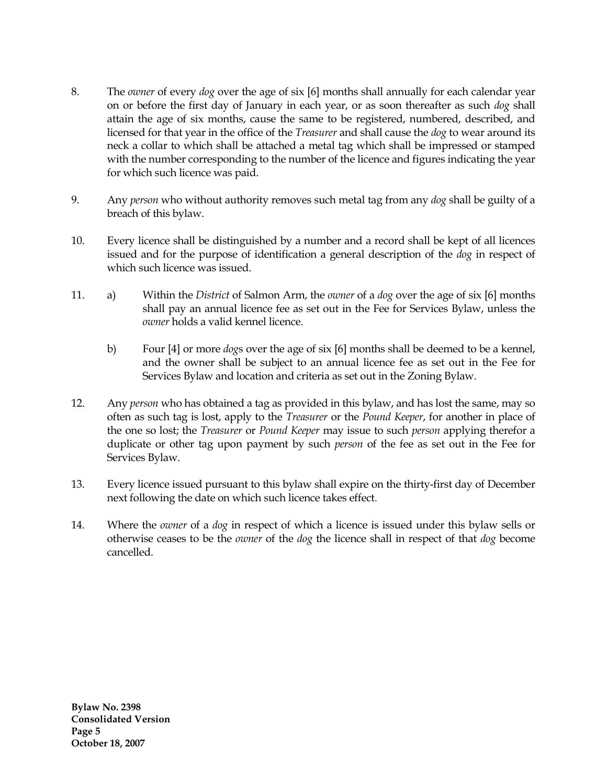- 8. The *owner* of every *dog* over the age of six [6] months shall annually for each calendar year on or before the first day of January in each year, or as soon thereafter as such *dog* shall attain the age of six months, cause the same to be registered, numbered, described, and licensed for that year in the office of the *Treasurer* and shall cause the *dog* to wear around its neck a collar to which shall be attached a metal tag which shall be impressed or stamped with the number corresponding to the number of the licence and figures indicating the year for which such licence was paid.
- 9. Any *person* who without authority removes such metal tag from any *dog* shall be guilty of a breach of this bylaw.
- 10. Every licence shall be distinguished by a number and a record shall be kept of all licences issued and for the purpose of identification a general description of the *dog* in respect of which such licence was issued.
- 11. a) Within the *District* of Salmon Arm, the *owner* of a *dog* over the age of six [6] months shall pay an annual licence fee as set out in the Fee for Services Bylaw, unless the *owner* holds a valid kennel licence.
	- b) Four [4] or more *dog*s over the age of six [6] months shall be deemed to be a kennel, and the owner shall be subject to an annual licence fee as set out in the Fee for Services Bylaw and location and criteria as set out in the Zoning Bylaw.
- 12. Any *person* who has obtained a tag as provided in this bylaw, and has lost the same, may so often as such tag is lost, apply to the *Treasurer* or the *Pound Keeper*, for another in place of the one so lost; the *Treasurer* or *Pound Keeper* may issue to such *person* applying therefor a duplicate or other tag upon payment by such *person* of the fee as set out in the Fee for Services Bylaw.
- 13. Every licence issued pursuant to this bylaw shall expire on the thirty-first day of December next following the date on which such licence takes effect.
- 14. Where the *owner* of a *dog* in respect of which a licence is issued under this bylaw sells or otherwise ceases to be the *owner* of the *dog* the licence shall in respect of that *dog* become cancelled.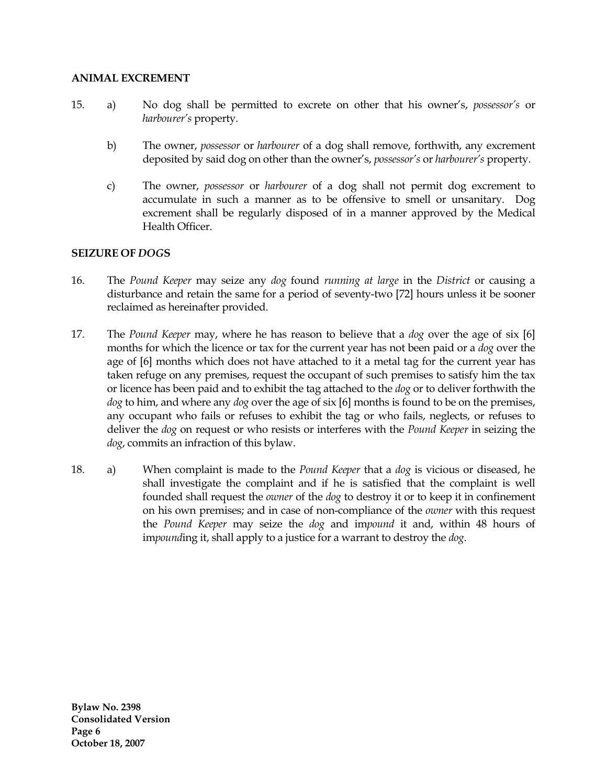#### **ANIMAL EXCREMENT**

- 15. a) No dog shall be permitted to excrete on other that his owner's, *possessor's* or *harbourer's* property.
	- b) The owner, *possessor* or *harbourer* of a dog shall remove, forthwith, any excrement deposited by said dog on other than the owner's, *possessor's* or *harbourer's* property.
	- c) The owner, *possessor* or *harbourer* of a dog shall not permit dog excrement to accumulate in such a manner as to be offensive to smell or unsanitary. Dog excrement shall be regularly disposed of in a manner approved by the Medical Health Officer.

### **SEIZURE OF** *DOG***S**

- 16. The *Pound Keeper* may seize any *dog* found *running at large* in the *District* or causing a disturbance and retain the same for a period of seventy-two [72] hours unless it be sooner reclaimed as hereinafter provided.
- 17. The *Pound Keeper* may, where he has reason to believe that a *dog* over the age of six [6] months for which the licence or tax for the current year has not been paid or a *dog* over the age of [6] months which does not have attached to it a metal tag for the current year has taken refuge on any premises, request the occupant of such premises to satisfy him the tax or licence has been paid and to exhibit the tag attached to the *dog* or to deliver forthwith the *dog* to him, and where any *dog* over the age of six [6] months is found to be on the premises, any occupant who fails or refuses to exhibit the tag or who fails, neglects, or refuses to deliver the *dog* on request or who resists or interferes with the *Pound Keeper* in seizing the *dog*, commits an infraction of this bylaw.
- 18. a) When complaint is made to the *Pound Keeper* that a *dog* is vicious or diseased, he shall investigate the complaint and if he is satisfied that the complaint is well founded shall request the *owner* of the *dog* to destroy it or to keep it in confinement on his own premises; and in case of non-compliance of the *owner* with this request the *Pound Keeper* may seize the *dog* and im*pound* it and, within 48 hours of im*pound*ing it, shall apply to a justice for a warrant to destroy the *dog*.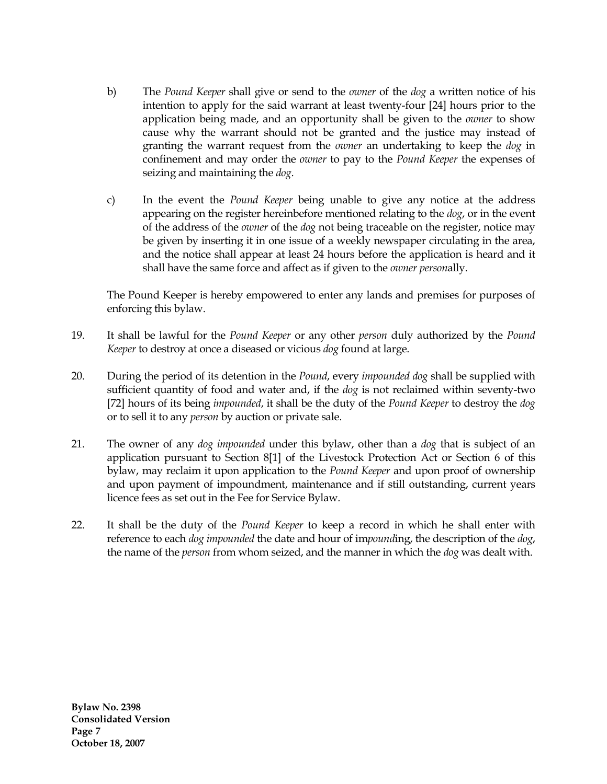- b) The *Pound Keeper* shall give or send to the *owner* of the *dog* a written notice of his intention to apply for the said warrant at least twenty-four [24] hours prior to the application being made, and an opportunity shall be given to the *owner* to show cause why the warrant should not be granted and the justice may instead of granting the warrant request from the *owner* an undertaking to keep the *dog* in confinement and may order the *owner* to pay to the *Pound Keeper* the expenses of seizing and maintaining the *dog*.
- c) In the event the *Pound Keeper* being unable to give any notice at the address appearing on the register hereinbefore mentioned relating to the *dog*, or in the event of the address of the *owner* of the *dog* not being traceable on the register, notice may be given by inserting it in one issue of a weekly newspaper circulating in the area, and the notice shall appear at least 24 hours before the application is heard and it shall have the same force and affect as if given to the *owner person*ally.

The Pound Keeper is hereby empowered to enter any lands and premises for purposes of enforcing this bylaw.

- 19. It shall be lawful for the *Pound Keeper* or any other *person* duly authorized by the *Pound Keeper* to destroy at once a diseased or vicious *dog* found at large.
- 20. During the period of its detention in the *Pound*, every *impounded dog* shall be supplied with sufficient quantity of food and water and, if the *dog* is not reclaimed within seventy-two [72] hours of its being *impounded*, it shall be the duty of the *Pound Keeper* to destroy the *dog* or to sell it to any *person* by auction or private sale.
- 21. The owner of any *dog impounded* under this bylaw, other than a *dog* that is subject of an application pursuant to Section 8[1] of the Livestock Protection Act or Section 6 of this bylaw, may reclaim it upon application to the *Pound Keeper* and upon proof of ownership and upon payment of impoundment, maintenance and if still outstanding, current years licence fees as set out in the Fee for Service Bylaw.
- 22. It shall be the duty of the *Pound Keeper* to keep a record in which he shall enter with reference to each *dog impounded* the date and hour of im*pound*ing, the description of the *dog*, the name of the *person* from whom seized, and the manner in which the *dog* was dealt with.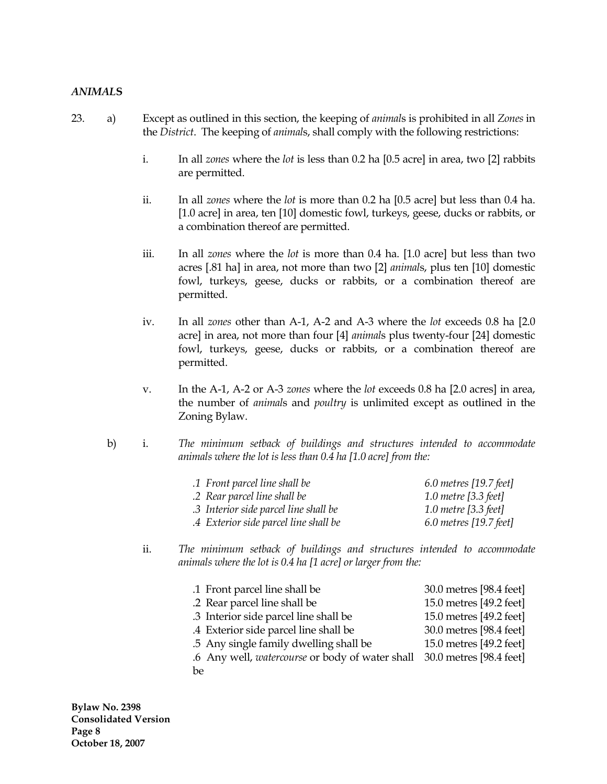#### *ANIMAL***S**

- 23. a) Except as outlined in this section, the keeping of *animal*s is prohibited in all *Zones* in the *District*. The keeping of *animal*s, shall comply with the following restrictions:
	- i. In all *zones* where the *lot* is less than 0.2 ha [0.5 acre] in area, two [2] rabbits are permitted.
	- ii. In all *zones* where the *lot* is more than 0.2 ha [0.5 acre] but less than 0.4 ha. [1.0 acre] in area, ten [10] domestic fowl, turkeys, geese, ducks or rabbits, or a combination thereof are permitted.
	- iii. In all *zones* where the *lot* is more than 0.4 ha. [1.0 acre] but less than two acres [.81 ha] in area, not more than two [2] *animal*s, plus ten [10] domestic fowl, turkeys, geese, ducks or rabbits, or a combination thereof are permitted.
	- iv. In all *zones* other than A-1, A-2 and A-3 where the *lot* exceeds 0.8 ha [2.0 acre] in area, not more than four [4] *animal*s plus twenty-four [24] domestic fowl, turkeys, geese, ducks or rabbits, or a combination thereof are permitted.
	- v. In the A-1, A-2 or A-3 *zones* where the *lot* exceeds 0.8 ha [2.0 acres] in area, the number of *animal*s and *poultry* is unlimited except as outlined in the Zoning Bylaw.
	- b) i. *The minimum setback of buildings and structures intended to accommodate animals where the lot is less than 0.4 ha [1.0 acre] from the:*

| .1 Front parcel line shall be         | $6.0$ metres [19.7 feet] |
|---------------------------------------|--------------------------|
| .2 Rear parcel line shall be          | 1.0 metre [3.3 feet]     |
| .3 Interior side parcel line shall be | 1.0 metre [3.3 feet]     |
| .4 Exterior side parcel line shall be | $6.0$ metres [19.7 feet] |

ii. *The minimum setback of buildings and structures intended to accommodate animals where the lot is 0.4 ha [1 acre] or larger from the:*

| .1 Front parcel line shall be                   | 30.0 metres [98.4 feet] |
|-------------------------------------------------|-------------------------|
| .2 Rear parcel line shall be                    | 15.0 metres [49.2 feet] |
| .3 Interior side parcel line shall be           | 15.0 metres [49.2 feet] |
| .4 Exterior side parcel line shall be           | 30.0 metres [98.4 feet] |
| .5 Any single family dwelling shall be          | 15.0 metres [49.2 feet] |
| .6 Any well, watercourse or body of water shall | 30.0 metres [98.4 feet] |
| be                                              |                         |

**Bylaw No. 2398 Consolidated Version Page 8 October 18, 2007**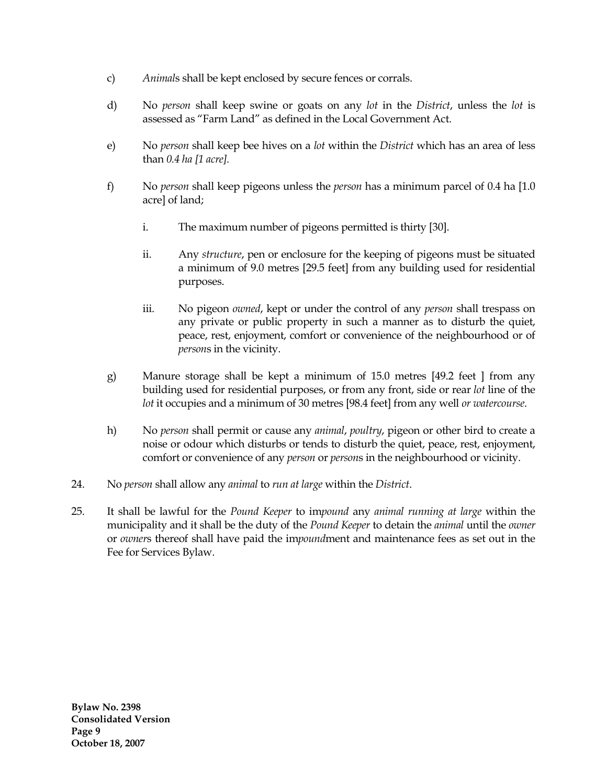- c) *Animal*s shall be kept enclosed by secure fences or corrals.
- d) No *person* shall keep swine or goats on any *lot* in the *District*, unless the *lot* is assessed as "Farm Land" as defined in the Local Government Act.
- e) No *person* shall keep bee hives on a *lot* within the *District* which has an area of less than *0.4 ha [1 acre].*
- f) No *person* shall keep pigeons unless the *person* has a minimum parcel of 0.4 ha [1.0 acre] of land;
	- i. The maximum number of pigeons permitted is thirty [30].
	- ii. Any *structure*, pen or enclosure for the keeping of pigeons must be situated a minimum of 9.0 metres [29.5 feet] from any building used for residential purposes.
	- iii. No pigeon *owned*, kept or under the control of any *person* shall trespass on any private or public property in such a manner as to disturb the quiet, peace, rest, enjoyment, comfort or convenience of the neighbourhood or of *person*s in the vicinity.
- g) Manure storage shall be kept a minimum of 15.0 metres [49.2 feet ] from any building used for residential purposes, or from any front, side or rear *lot* line of the *lot* it occupies and a minimum of 30 metres [98.4 feet] from any well *or watercourse*.
- h) No *person* shall permit or cause any *animal*, *poultry*, pigeon or other bird to create a noise or odour which disturbs or tends to disturb the quiet, peace, rest, enjoyment, comfort or convenience of any *person* or *person*s in the neighbourhood or vicinity.
- 24. No *person* shall allow any *animal* to *run at large* within the *District*.
- 25. It shall be lawful for the *Pound Keeper* to im*pound* any *animal running at large* within the municipality and it shall be the duty of the *Pound Keeper* to detain the *animal* until the *owner* or *owner*s thereof shall have paid the im*pound*ment and maintenance fees as set out in the Fee for Services Bylaw.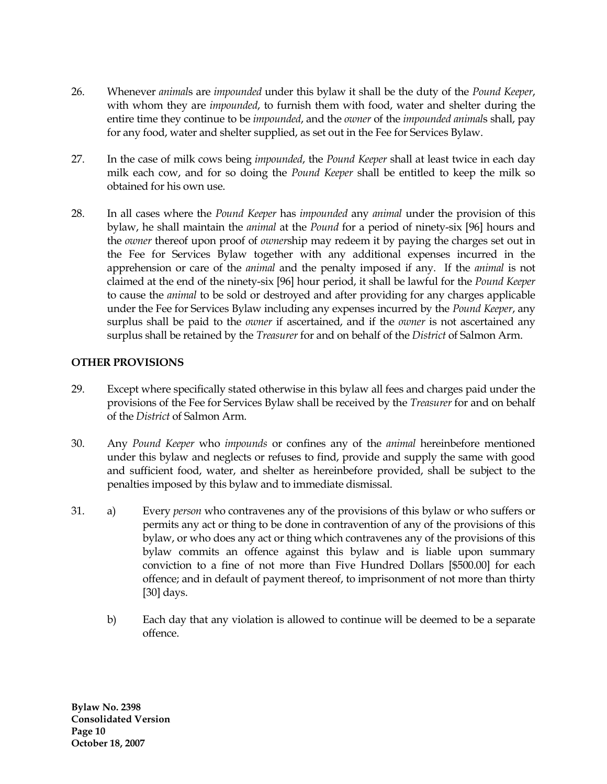- 26. Whenever *animal*s are *impounded* under this bylaw it shall be the duty of the *Pound Keeper*, with whom they are *impounded*, to furnish them with food, water and shelter during the entire time they continue to be *impounded*, and the *owner* of the *impounded animal*s shall, pay for any food, water and shelter supplied, as set out in the Fee for Services Bylaw.
- 27. In the case of milk cows being *impounded*, the *Pound Keeper* shall at least twice in each day milk each cow, and for so doing the *Pound Keeper* shall be entitled to keep the milk so obtained for his own use.
- 28. In all cases where the *Pound Keeper* has *impounded* any *animal* under the provision of this bylaw, he shall maintain the *animal* at the *Pound* for a period of ninety-six [96] hours and the *owner* thereof upon proof of *owner*ship may redeem it by paying the charges set out in the Fee for Services Bylaw together with any additional expenses incurred in the apprehension or care of the *animal* and the penalty imposed if any. If the *animal* is not claimed at the end of the ninety-six [96] hour period, it shall be lawful for the *Pound Keeper* to cause the *animal* to be sold or destroyed and after providing for any charges applicable under the Fee for Services Bylaw including any expenses incurred by the *Pound Keeper*, any surplus shall be paid to the *owner* if ascertained, and if the *owner* is not ascertained any surplus shall be retained by the *Treasurer* for and on behalf of the *District* of Salmon Arm.

## **OTHER PROVISIONS**

- 29. Except where specifically stated otherwise in this bylaw all fees and charges paid under the provisions of the Fee for Services Bylaw shall be received by the *Treasurer* for and on behalf of the *District* of Salmon Arm.
- 30. Any *Pound Keeper* who *impounds* or confines any of the *animal* hereinbefore mentioned under this bylaw and neglects or refuses to find, provide and supply the same with good and sufficient food, water, and shelter as hereinbefore provided, shall be subject to the penalties imposed by this bylaw and to immediate dismissal.
- 31. a) Every *person* who contravenes any of the provisions of this bylaw or who suffers or permits any act or thing to be done in contravention of any of the provisions of this bylaw, or who does any act or thing which contravenes any of the provisions of this bylaw commits an offence against this bylaw and is liable upon summary conviction to a fine of not more than Five Hundred Dollars [\$500.00] for each offence; and in default of payment thereof, to imprisonment of not more than thirty [30] days.
	- b) Each day that any violation is allowed to continue will be deemed to be a separate offence.

**Bylaw No. 2398 Consolidated Version Page 10 October 18, 2007**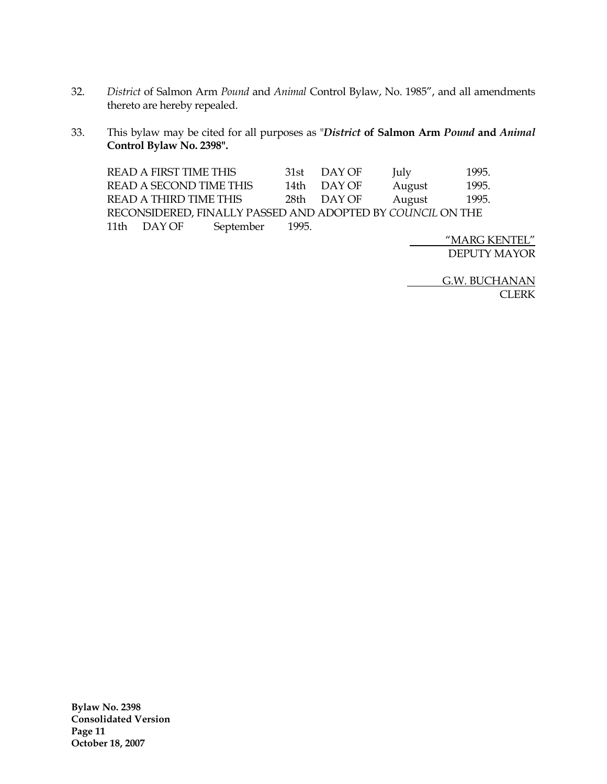- 32. *District* of Salmon Arm *Pound* and *Animal* Control Bylaw, No. 1985", and all amendments thereto are hereby repealed.
- 33. This bylaw may be cited for all purposes as "*District* **of Salmon Arm** *Pound* **and** *Animal* **Control Bylaw No. 2398".**

| <b>READ A FIRST TIME THIS</b>                              |           |       | 31st DAY OF | July   | 1995. |
|------------------------------------------------------------|-----------|-------|-------------|--------|-------|
| READ A SECOND TIME THIS                                    |           | 14th  | DAY OF      | August | 1995. |
| <b>READ A THIRD TIME THIS</b>                              |           |       | 28th DAYOF  | August | 1995. |
| RECONSIDERED, FINALLY PASSED AND ADOPTED BY COUNCIL ON THE |           |       |             |        |       |
| 11th DAY OF                                                | September | 1995. |             |        |       |

"MARG KENTEL" DEPUTY MAYOR

G.W. BUCHANAN CLERK

**Bylaw No. 2398 Consolidated Version Page 11 October 18, 2007**